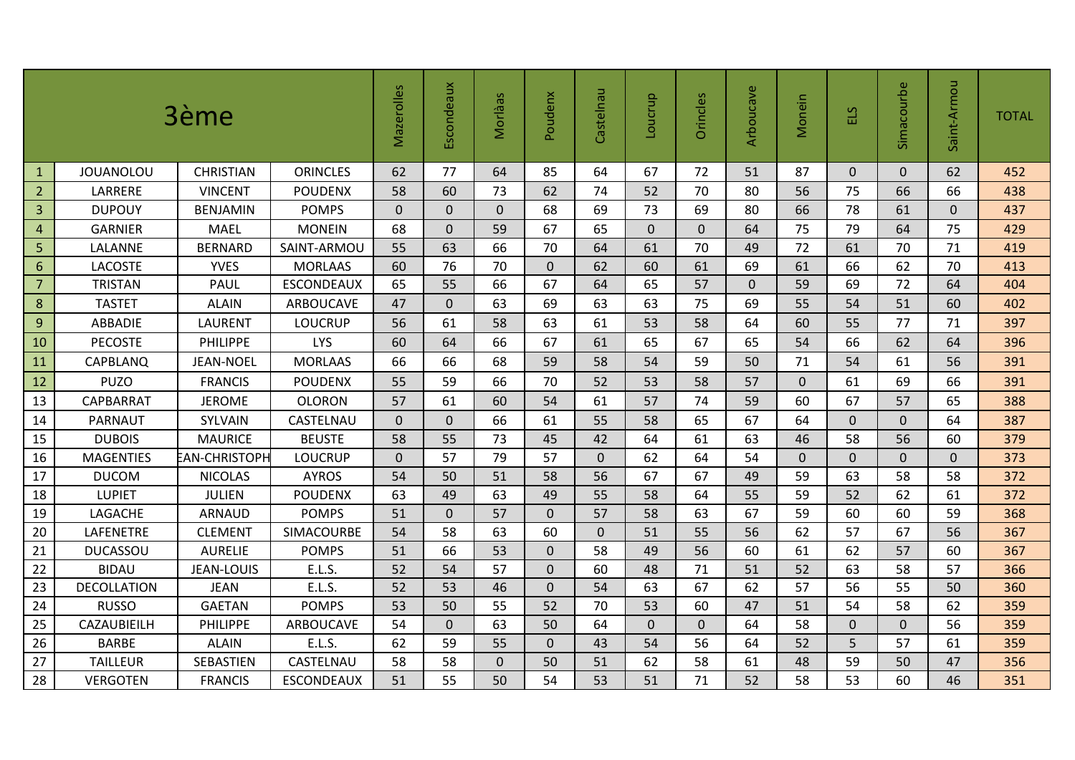| 3ème           |                    |                      |                   | Mazerolles  | Escondeaux     | Morlàas      | Poudenx      | Castelnau | Loucrup  | Orincles     | Arboucave | Monein      | ELS          | Simacourbe | Saint-Armou | <b>TOTAL</b> |
|----------------|--------------------|----------------------|-------------------|-------------|----------------|--------------|--------------|-----------|----------|--------------|-----------|-------------|--------------|------------|-------------|--------------|
| $\mathbf{1}$   | <b>JOUANOLOU</b>   | <b>CHRISTIAN</b>     | <b>ORINCLES</b>   | 62          | 77             | 64           | 85           | 64        | 67       | 72           | 51        | 87          | $\Omega$     | 0          | 62          | 452          |
| $\overline{2}$ | LARRERE            | <b>VINCENT</b>       | <b>POUDENX</b>    | 58          | 60             | 73           | 62           | 74        | 52       | 70           | 80        | 56          | 75           | 66         | 66          | 438          |
| $\overline{3}$ | <b>DUPOUY</b>      | <b>BENJAMIN</b>      | <b>POMPS</b>      | $\Omega$    | $\Omega$       | $\mathbf{0}$ | 68           | 69        | 73       | 69           | 80        | 66          | 78           | 61         | $\Omega$    | 437          |
| $\overline{4}$ | <b>GARNIER</b>     | MAEL                 | <b>MONEIN</b>     | 68          | $\Omega$       | 59           | 67           | 65        | $\Omega$ | $\mathbf{0}$ | 64        | 75          | 79           | 64         | 75          | 429          |
| 5              | LALANNE            | <b>BERNARD</b>       | SAINT-ARMOU       | 55          | 63             | 66           | 70           | 64        | 61       | 70           | 49        | 72          | 61           | 70         | 71          | 419          |
| 6              | <b>LACOSTE</b>     | <b>YVES</b>          | <b>MORLAAS</b>    | 60          | 76             | 70           | $\mathbf{0}$ | 62        | 60       | 61           | 69        | 61          | 66           | 62         | 70          | 413          |
| $\overline{7}$ | <b>TRISTAN</b>     | <b>PAUL</b>          | <b>ESCONDEAUX</b> | 65          | 55             | 66           | 67           | 64        | 65       | 57           | $\Omega$  | 59          | 69           | 72         | 64          | 404          |
| 8              | <b>TASTET</b>      | ALAIN                | <b>ARBOUCAVE</b>  | 47          | $\Omega$       | 63           | 69           | 63        | 63       | 75           | 69        | 55          | 54           | 51         | 60          | 402          |
| 9              | <b>ABBADIE</b>     | LAURENT              | <b>LOUCRUP</b>    | 56          | 61             | 58           | 63           | 61        | 53       | 58           | 64        | 60          | 55           | 77         | 71          | 397          |
| 10             | <b>PECOSTE</b>     | PHILIPPE             | <b>LYS</b>        | 60          | 64             | 66           | 67           | 61        | 65       | 67           | 65        | 54          | 66           | 62         | 64          | 396          |
| 11             | CAPBLANQ           | <b>JEAN-NOEL</b>     | <b>MORLAAS</b>    | 66          | 66             | 68           | 59           | 58        | 54       | 59           | 50        | 71          | 54           | 61         | 56          | 391          |
| 12             | <b>PUZO</b>        | <b>FRANCIS</b>       | <b>POUDENX</b>    | 55          | 59             | 66           | 70           | 52        | 53       | 58           | 57        | $\mathbf 0$ | 61           | 69         | 66          | 391          |
| 13             | CAPBARRAT          | <b>JEROME</b>        | <b>OLORON</b>     | 57          | 61             | 60           | 54           | 61        | 57       | 74           | 59        | 60          | 67           | 57         | 65          | 388          |
| 14             | PARNAUT            | SYLVAIN              | CASTELNAU         | $\Omega$    | $\Omega$       | 66           | 61           | 55        | 58       | 65           | 67        | 64          | $\mathbf{0}$ | 0          | 64          | 387          |
| 15             | <b>DUBOIS</b>      | <b>MAURICE</b>       | <b>BEUSTE</b>     | 58          | 55             | 73           | 45           | 42        | 64       | 61           | 63        | 46          | 58           | 56         | 60          | 379          |
| 16             | <b>MAGENTIES</b>   | <b>EAN-CHRISTOPH</b> | <b>LOUCRUP</b>    | $\mathbf 0$ | 57             | 79           | 57           | $\Omega$  | 62       | 64           | 54        | $\mathbf 0$ | $\mathbf{0}$ | 0          | $\Omega$    | 373          |
| 17             | <b>DUCOM</b>       | <b>NICOLAS</b>       | <b>AYROS</b>      | 54          | 50             | 51           | 58           | 56        | 67       | 67           | 49        | 59          | 63           | 58         | 58          | 372          |
| 18             | <b>LUPIET</b>      | <b>JULIEN</b>        | <b>POUDENX</b>    | 63          | 49             | 63           | 49           | 55        | 58       | 64           | 55        | 59          | 52           | 62         | 61          | 372          |
| 19             | LAGACHE            | <b>ARNAUD</b>        | <b>POMPS</b>      | 51          | $\overline{0}$ | 57           | $\mathbf{0}$ | 57        | 58       | 63           | 67        | 59          | 60           | 60         | 59          | 368          |
| 20             | LAFENETRE          | <b>CLEMENT</b>       | SIMACOURBE        | 54          | 58             | 63           | 60           | 0         | 51       | 55           | 56        | 62          | 57           | 67         | 56          | 367          |
| 21             | <b>DUCASSOU</b>    | <b>AURELIE</b>       | <b>POMPS</b>      | 51          | 66             | 53           | $\Omega$     | 58        | 49       | 56           | 60        | 61          | 62           | 57         | 60          | 367          |
| 22             | <b>BIDAU</b>       | <b>JEAN-LOUIS</b>    | E.L.S.            | 52          | 54             | 57           | $\mathbf{0}$ | 60        | 48       | 71           | 51        | 52          | 63           | 58         | 57          | 366          |
| 23             | <b>DECOLLATION</b> | <b>JEAN</b>          | E.L.S.            | 52          | 53             | 46           | $\mathbf 0$  | 54        | 63       | 67           | 62        | 57          | 56           | 55         | 50          | 360          |
| 24             | <b>RUSSO</b>       | <b>GAETAN</b>        | <b>POMPS</b>      | 53          | 50             | 55           | 52           | 70        | 53       | 60           | 47        | 51          | 54           | 58         | 62          | 359          |
| 25             | CAZAUBIEILH        | <b>PHILIPPE</b>      | ARBOUCAVE         | 54          | $\Omega$       | 63           | 50           | 64        | $\Omega$ | $\mathbf{0}$ | 64        | 58          | $\mathbf{0}$ | 0          | 56          | 359          |
| 26             | <b>BARBE</b>       | <b>ALAIN</b>         | E.L.S.            | 62          | 59             | 55           | $\mathbf{0}$ | 43        | 54       | 56           | 64        | 52          | 5            | 57         | 61          | 359          |
| 27             | <b>TAILLEUR</b>    | SEBASTIEN            | CASTELNAU         | 58          | 58             | $\mathbf{0}$ | 50           | 51        | 62       | 58           | 61        | 48          | 59           | 50         | 47          | 356          |
| 28             | <b>VERGOTEN</b>    | <b>FRANCIS</b>       | <b>ESCONDEAUX</b> | 51          | 55             | 50           | 54           | 53        | 51       | 71           | 52        | 58          | 53           | 60         | 46          | 351          |